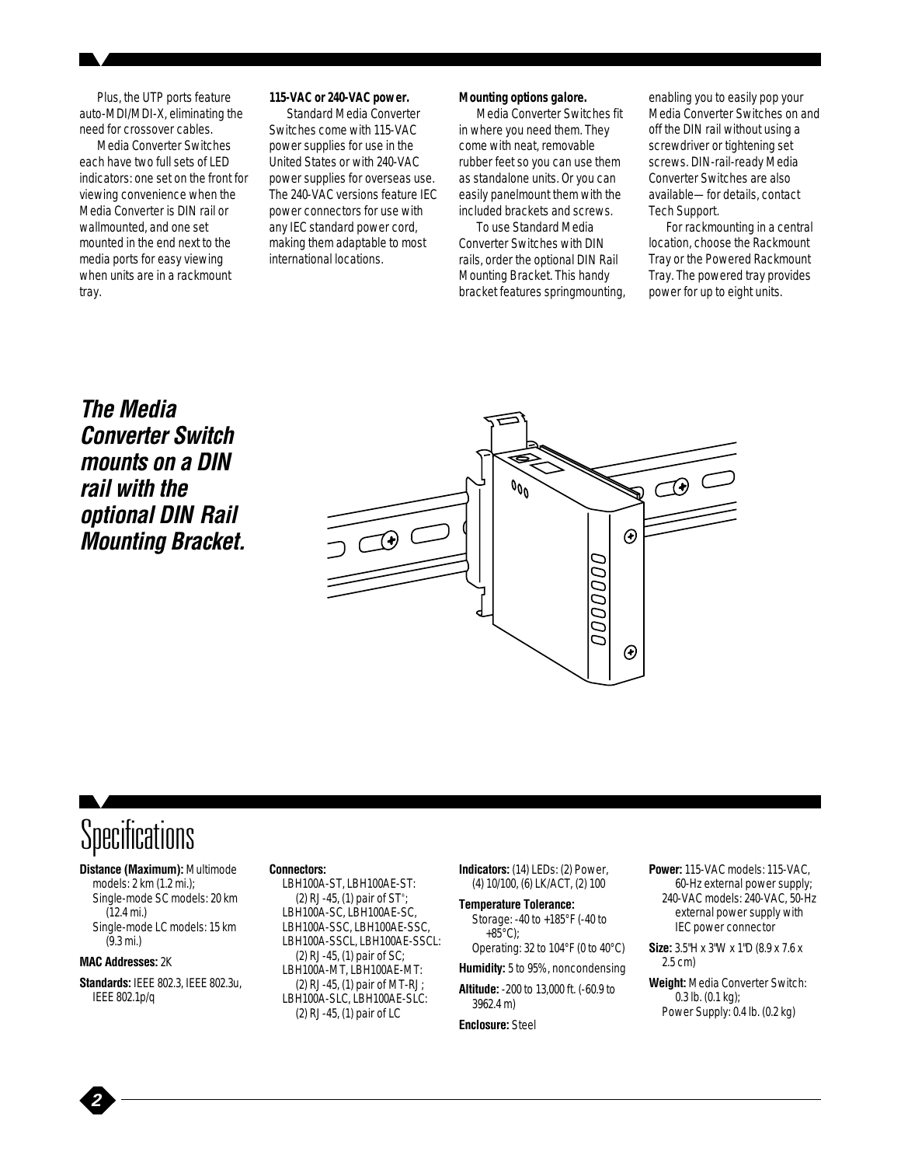Plus, the UTP ports feature auto-MDI/MDI-X, eliminating the need for crossover cables.

Media Converter Switches each have two full sets of LED indicators: one set on the front for viewing convenience when the Media Converter is DIN rail or wallmounted, and one set mounted in the end next to the media ports for easy viewing when units are in a rackmount tray.

#### **115-VAC or 240-VAC power.**

Standard Media Converter Switches come with 115-VAC power supplies for use in the United States or with 240-VAC power supplies for overseas use. The 240-VAC versions feature IEC power connectors for use with any IEC standard power cord, making them adaptable to most international locations.

#### **Mounting options galore.**

Media Converter Switches fit in where you need them. They come with neat, removable rubber feet so you can use them as standalone units. Or you can easily panelmount them with the included brackets and screws.

To use Standard Media Converter Switches with DIN rails, order the optional DIN Rail Mounting Bracket. This handy bracket features springmounting, enabling you to easily pop your Media Converter Switches on and off the DIN rail without using a screwdriver or tightening set screws. DIN-rail-ready Media Converter Switches are also available—for details, contact Tech Support.

For rackmounting in a central location, choose the Rackmount Tray or the Powered Rackmount Tray. The powered tray provides power for up to eight units.

### *The Media Converter Switch mounts on a DIN rail with the optional DIN Rail Mounting Bracket.*



## **Specifications**

**Distance (Maximum):** Multimode models: 2 km (1.2 mi.); Single-mode SC models: 20 km (12.4 mi.) Single-mode LC models: 15 km (9.3 mi.)

#### **MAC Addresses:** 2K

*2*

**Standards:** IEEE 802.3, IEEE 802.3u, IEEE 802.1p/q

#### **Connectors:**

LBH100A-ST, LBH100AE-ST: (2) RJ-45, (1) pair of ST® ; LBH100A-SC, LBH100AE-SC, LBH100A-SSC, LBH100AE-SSC, LBH100A-SSCL, LBH100AE-SSCL: (2) RJ-45, (1) pair of SC; LBH100A-MT, LBH100AE-MT: (2) RJ-45, (1) pair of MT-RJ; LBH100A-SLC, LBH100AE-SLC: (2) RJ-45, (1) pair of LC

**Indicators:** (14) LEDs: (2) Power, (4) 10/100, (6) LK/ACT, (2) 100

**Temperature Tolerance:** Storage: -40 to +185°F (-40 to  $+85^{\circ}$ C);

Operating: 32 to 104°F (0 to 40°C) **Humidity:** 5 to 95%, noncondensing

**Altitude:** -200 to 13,000 ft. (-60.9 to 3962.4 m)

**Enclosure:** Steel

**Power:** 115-VAC models: 115-VAC, 60-Hz external power supply; 240-VAC models: 240-VAC, 50-Hz external power supply with IEC power connector

**Size:** 3.5"H x 3"W x 1"D (8.9 x 7.6 x 2.5 cm)

**Weight:** Media Converter Switch: 0.3 lb. (0.1 kg); Power Supply: 0.4 lb. (0.2 kg)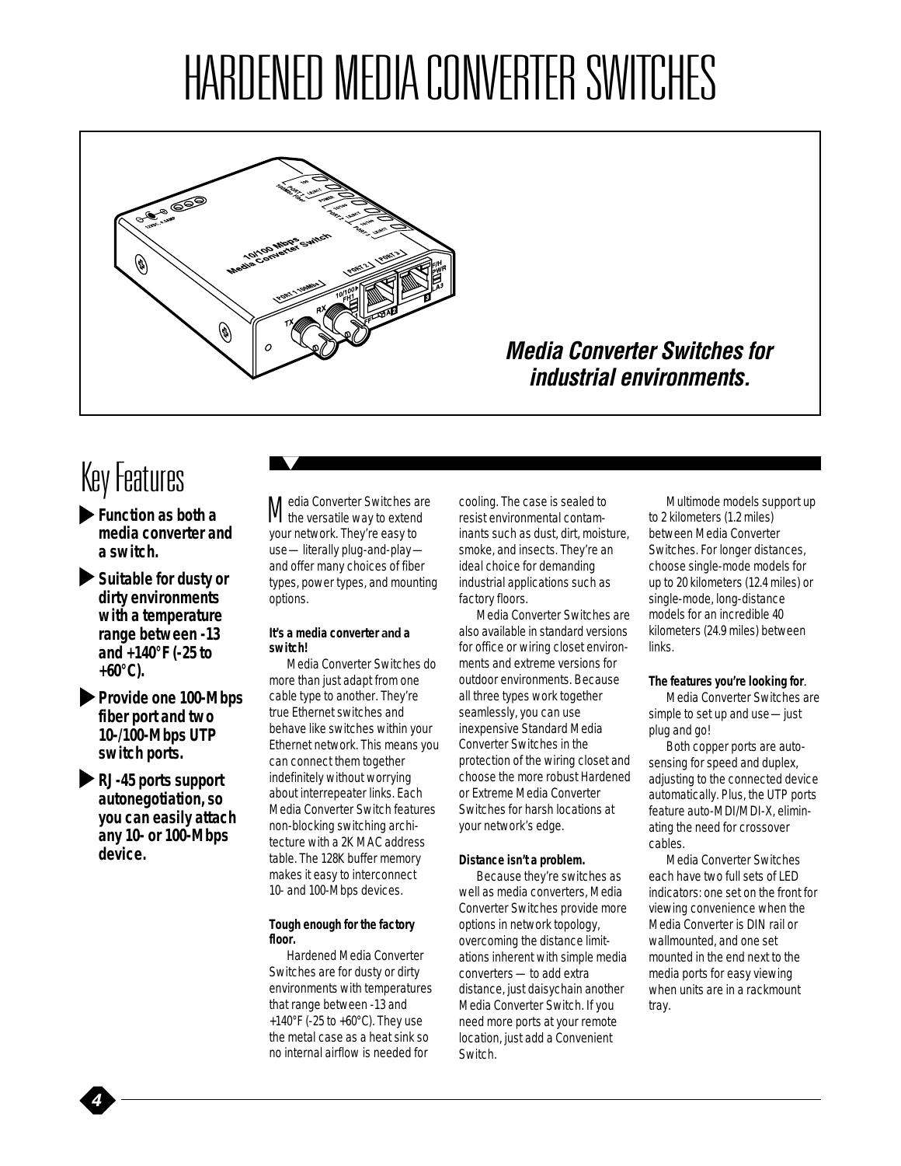# HARDENED MEDIA CONVERTER SWITCHES



### *Media Converter Switches for industrial environments.*

### Key Features

- *Function as both a media converter and a switch.*
- *Suitable for dusty or dirty environments with a temperature range between -13 and +140°F (-25 to +60°C).*
- *Provide one 100-Mbps fiber port and two 10-/100-Mbps UTP switch ports.*
- *RJ-45 ports support autonegotiation, so you can easily attach any 10- or 100-Mbps device.*

*4*

Media Converter Switches are the versatile way to extend your network. They're easy to use—literally plug-and-play and offer many choices of fiber types, power types, and mounting options.

#### **It's a media converter and a switch!**

Media Converter Switches do more than just adapt from one cable type to another. They're true Ethernet switches and behave like switches within your Ethernet network. This means you can connect them together indefinitely without worrying about interrepeater links. Each Media Converter Switch features non-blocking switching architecture with a 2K MAC address table. The 128K buffer memory makes it easy to interconnect 10- and 100-Mbps devices.

#### **Tough enough for the factory floor.**

Hardened Media Converter Switches are for dusty or dirty environments with temperatures that range between -13 and +140°F (-25 to +60°C). They use the metal case as a heat sink so no internal airflow is needed for

cooling. The case is sealed to resist environmental contaminants such as dust, dirt, moisture, smoke, and insects. They're an ideal choice for demanding industrial applications such as factory floors.

Media Converter Switches are also available in standard versions for office or wiring closet environments and extreme versions for outdoor environments. Because all three types work together seamlessly, you can use inexpensive Standard Media Converter Switches in the protection of the wiring closet and choose the more robust Hardened or Extreme Media Converter Switches for harsh locations at your network's edge.

#### **Distance isn't a problem.**

Because they're switches as well as media converters, Media Converter Switches provide more options in network topology, overcoming the distance limitations inherent with simple media converters - to add extra distance, just daisychain another Media Converter Switch. If you need more ports at your remote location, just add a Convenient Switch.

Multimode models support up to 2 kilometers (1.2 miles) between Media Converter Switches. For longer distances, choose single-mode models for up to 20 kilometers (12.4 miles) or single-mode, long-distance models for an incredible 40 kilometers (24.9 miles) between links.

#### **The features you're looking for**.

Media Converter Switches are simple to set up and use—just plug and go!

Both copper ports are autosensing for speed and duplex, adjusting to the connected device automatically. Plus, the UTP ports feature auto-MDI/MDI-X, eliminating the need for crossover cables.

Media Converter Switches each have two full sets of LED indicators: one set on the front for viewing convenience when the Media Converter is DIN rail or wallmounted, and one set mounted in the end next to the media ports for easy viewing when units are in a rackmount tray.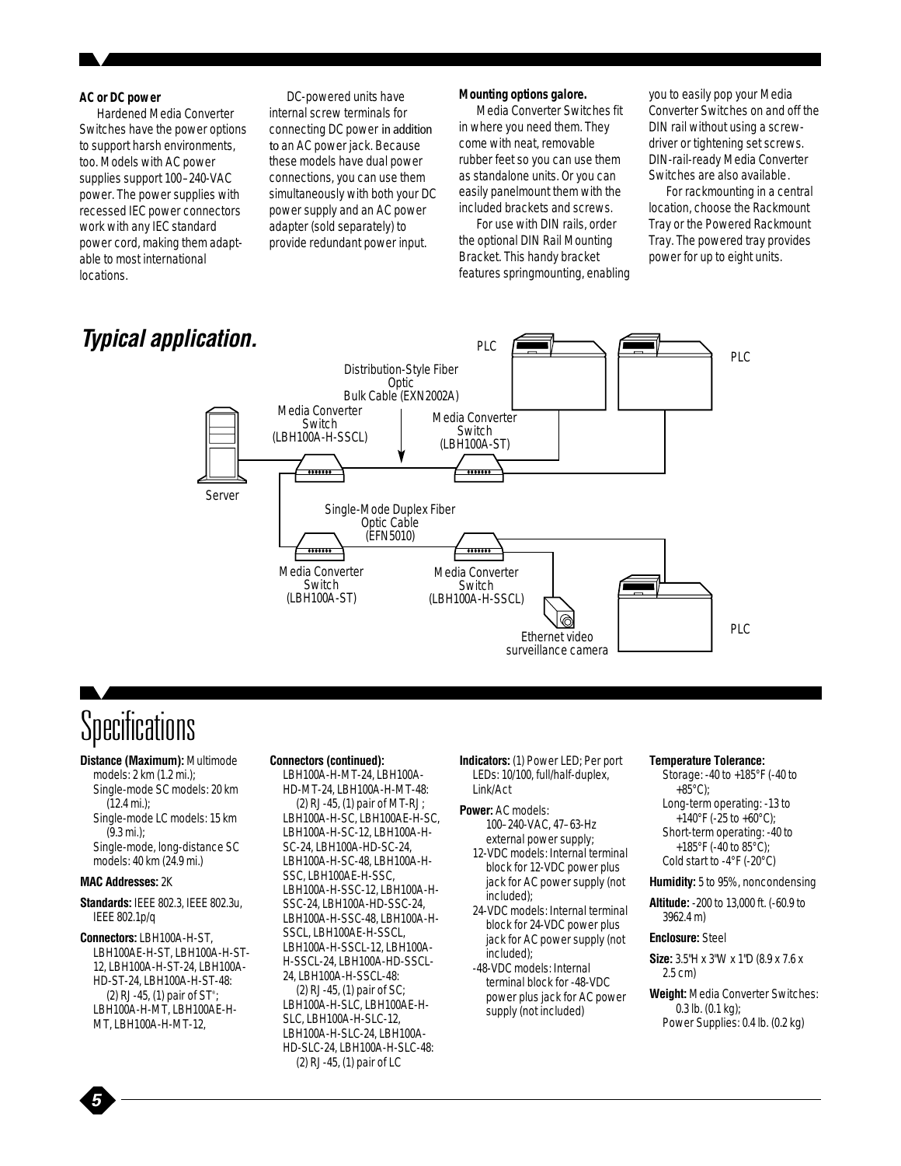#### **AC or DC power**

Hardened Media Converter Switches have the power options to support harsh environments, too. Models with AC power supplies support 100–240-VAC power. The power supplies with recessed IEC power connectors work with any IEC standard power cord, making them adaptable to most international locations.

DC-powered units have internal screw terminals for connecting DC power in addition to an AC power jack. Because these models have dual power connections, you can use them simultaneously with both your DC power supply and an AC power adapter (sold separately) to provide redundant power input.

#### **Mounting options galore.**

Media Converter Switches fit in where you need them. They come with neat, removable rubber feet so you can use them as standalone units. Or you can easily panelmount them with the included brackets and screws.

For use with DIN rails, order the optional DIN Rail Mounting Bracket. This handy bracket features springmounting, enabling you to easily pop your Media Converter Switches on and off the DIN rail without using a screwdriver or tightening set screws. DIN-rail-ready Media Converter Switches are also available.

For rackmounting in a central location, choose the Rackmount Tray or the Powered Rackmount Tray. The powered tray provides power for up to eight units.



### Specifications

**Distance (Maximum):** Multimode models: 2 km (1.2 mi.); Single-mode SC models: 20 km (12.4 mi.); Single-mode LC models: 15 km (9.3 mi.); Single-mode, long-distance SC models: 40 km (24.9 mi.) **MAC Addresses:** 2K **Standards:** IEEE 802.3, IEEE 802.3u, IEEE 802.1p/q

**Connectors:** LBH100A-H-ST, LBH100AE-H-ST, LBH100A-H-ST-12, LBH100A-H-ST-24, LBH100A-HD-ST-24, LBH100A-H-ST-48: (2) RJ-45, (1) pair of ST® ; LBH100A-H-MT, LBH100AE-H-MT, LBH100A-H-MT-12,

#### **Connectors (continued):**

LBH100A-H-MT-24, LBH100A-HD-MT-24, LBH100A-H-MT-48: (2) RJ-45, (1) pair of MT-RJ; LBH100A-H-SC, LBH100AE-H-SC, LBH100A-H-SC-12, LBH100A-H-SC-24, LBH100A-HD-SC-24, LBH100A-H-SC-48, LBH100A-H-SSC, LBH100AE-H-SSC, LBH100A-H-SSC-12, LBH100A-H-SSC-24, LBH100A-HD-SSC-24, LBH100A-H-SSC-48, LBH100A-H-SSCL, LBH100AE-H-SSCL, LBH100A-H-SSCL-12, LBH100A-H-SSCL-24, LBH100A-HD-SSCL-24, LBH100A-H-SSCL-48: (2) RJ-45, (1) pair of SC; LBH100A-H-SLC, LBH100AE-H-SLC, LBH100A-H-SLC-12,

LBH100A-H-SLC-24, LBH100A-HD-SLC-24, LBH100A-H-SLC-48: (2) RJ-45, (1) pair of LC

**Indicators:** (1) Power LED; Per port LEDs: 10/100, full/half-duplex, Link/Act

#### **Power:** AC models:

100–240-VAC, 47–63-Hz external power supply;

12-VDC models: Internal terminal block for 12-VDC power plus jack for AC power supply (not included);

24-VDC models: Internal terminal block for 24-VDC power plus jack for AC power supply (not included);

-48-VDC models: Internal terminal block for -48-VDC power plus jack for AC power supply (not included)

#### **Temperature Tolerance:**

Storage: -40 to +185°F (-40 to +85°C); Long-term operating: -13 to +140°F (-25 to +60°C); Short-term operating: -40 to +185°F (-40 to 85°C); Cold start to -4°F (-20°C)

#### **Humidity:** 5 to 95%, noncondensing

**Altitude:** -200 to 13,000 ft. (-60.9 to 3962.4 m)

#### **Enclosure:** Steel

**Size:** 3.5"H x 3"W x 1"D (8.9 x 7.6 x 2.5 cm)

**Weight:** Media Converter Switches: 0.3 lb. (0.1 kg); Power Supplies: 0.4 lb. (0.2 kg)

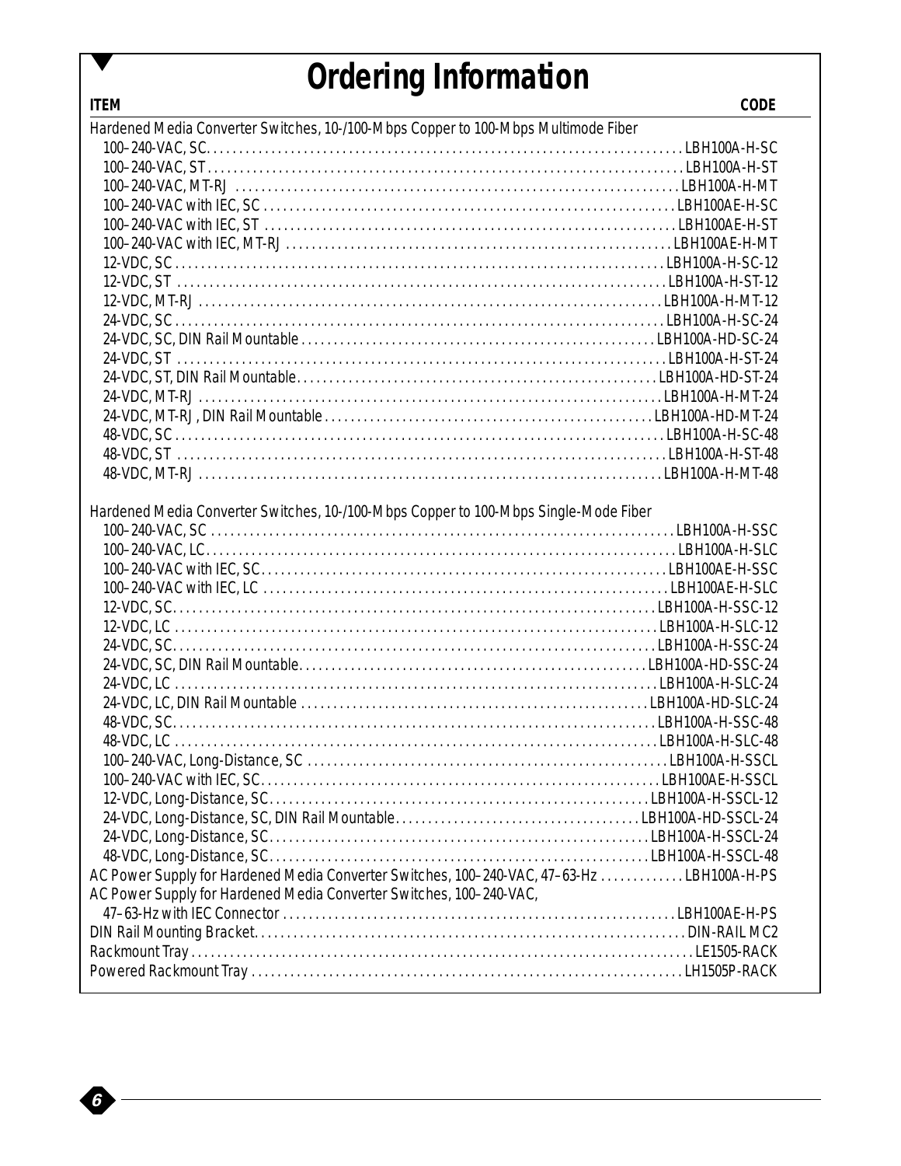### *Ordering Information*

| Hardened Media Converter Switches, 10-/100-Mbps Copper to 100-Mbps Multimode Fiber        |  |
|-------------------------------------------------------------------------------------------|--|
|                                                                                           |  |
|                                                                                           |  |
|                                                                                           |  |
|                                                                                           |  |
|                                                                                           |  |
|                                                                                           |  |
|                                                                                           |  |
|                                                                                           |  |
|                                                                                           |  |
|                                                                                           |  |
|                                                                                           |  |
|                                                                                           |  |
|                                                                                           |  |
|                                                                                           |  |
|                                                                                           |  |
|                                                                                           |  |
|                                                                                           |  |
|                                                                                           |  |
| Hardened Media Converter Switches, 10-/100-Mbps Copper to 100-Mbps Single-Mode Fiber      |  |
|                                                                                           |  |
|                                                                                           |  |
|                                                                                           |  |
|                                                                                           |  |
|                                                                                           |  |
|                                                                                           |  |
|                                                                                           |  |
|                                                                                           |  |
|                                                                                           |  |
|                                                                                           |  |
|                                                                                           |  |
|                                                                                           |  |
|                                                                                           |  |
|                                                                                           |  |
|                                                                                           |  |
|                                                                                           |  |
|                                                                                           |  |
|                                                                                           |  |
| AC Power Supply for Hardened Media Converter Switches, 100-240-VAC, 47-63-Hz LBH100A-H-PS |  |
| AC Power Supply for Hardened Media Converter Switches, 100-240-VAC,                       |  |
|                                                                                           |  |
|                                                                                           |  |
|                                                                                           |  |

*6*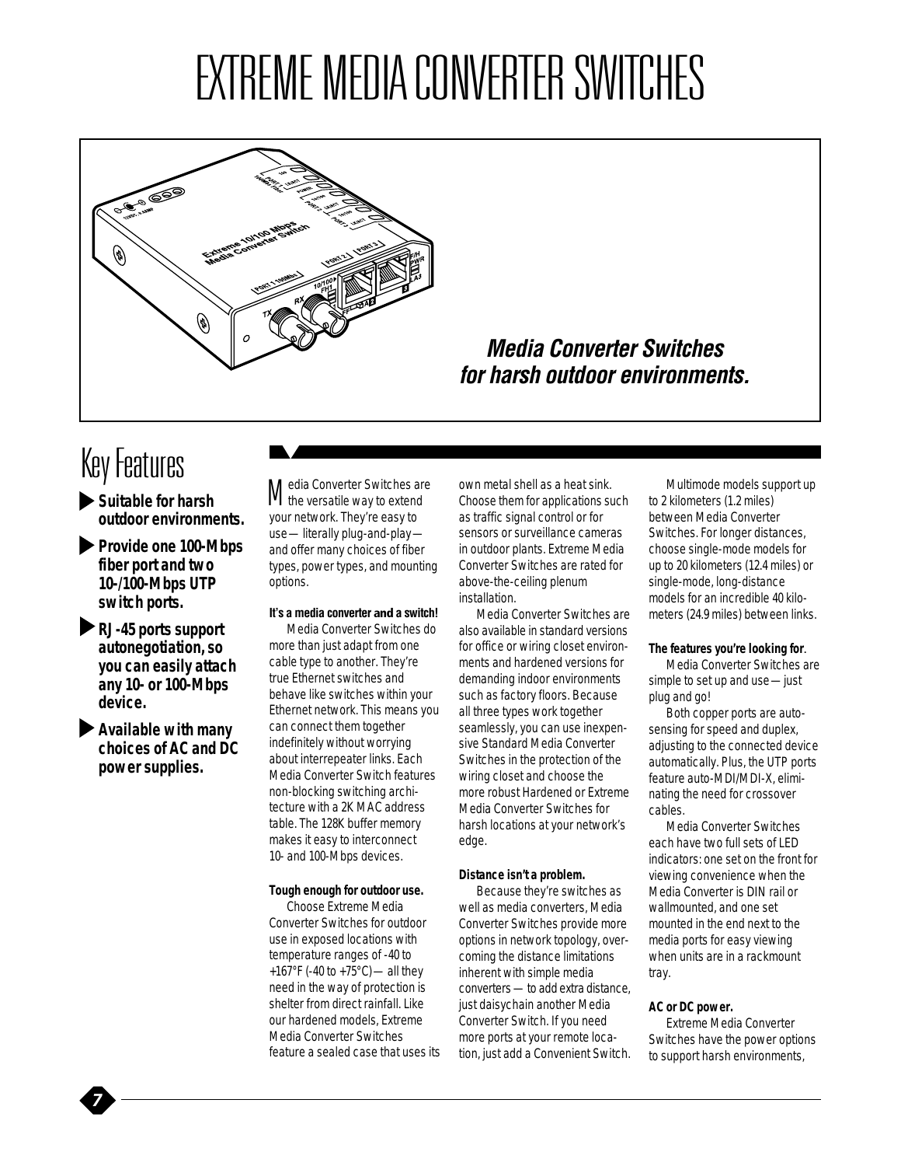# EXTREME MEDIA CONVERTER SWITCHES



### *Media Converter Switches for harsh outdoor environments.*

### Key Features

- *Suitable for harsh outdoor environments.*
- *Provide one 100-Mbps fiber port and two 10-/100-Mbps UTP switch ports.*
- *RJ-45 ports support autonegotiation, so you can easily attach any 10- or 100-Mbps device.*
- *Available with many choices of AC and DC power supplies.*

*7*

Media Converter Switches are the versatile way to extend your network. They're easy to use—literally plug-and-play and offer many choices of fiber types, power types, and mounting options.

#### **It's a media converter and a switch!**

Media Converter Switches do more than just adapt from one cable type to another. They're true Ethernet switches and behave like switches within your Ethernet network. This means you can connect them together indefinitely without worrying about interrepeater links. Each Media Converter Switch features non-blocking switching architecture with a 2K MAC address table. The 128K buffer memory makes it easy to interconnect 10- and 100-Mbps devices.

#### **Tough enough for outdoor use.**

Choose Extreme Media Converter Switches for outdoor use in exposed locations with temperature ranges of -40 to +167°F (-40 to +75°C)—all they need in the way of protection is shelter from direct rainfall. Like our hardened models, Extreme Media Converter Switches feature a sealed case that uses its

own metal shell as a heat sink. Choose them for applications such as traffic signal control or for sensors or surveillance cameras in outdoor plants. Extreme Media Converter Switches are rated for above-the-ceiling plenum installation.

Media Converter Switches are also available in standard versions for office or wiring closet environments and hardened versions for demanding indoor environments such as factory floors. Because all three types work together seamlessly, you can use inexpensive Standard Media Converter Switches in the protection of the wiring closet and choose the more robust Hardened or Extreme Media Converter Switches for harsh locations at your network's edge.

#### **Distance isn't a problem.**

Because they're switches as well as media converters, Media Converter Switches provide more options in network topology, overcoming the distance limitations inherent with simple media converters - to add extra distance, just daisychain another Media Converter Switch. If you need more ports at your remote location, just add a Convenient Switch.

Multimode models support up to 2 kilometers (1.2 miles) between Media Converter Switches. For longer distances, choose single-mode models for up to 20 kilometers (12.4 miles) or single-mode, long-distance models for an incredible 40 kilometers (24.9 miles) between links.

#### **The features you're looking for**.

Media Converter Switches are simple to set up and use—just plug and go!

Both copper ports are autosensing for speed and duplex, adjusting to the connected device automatically. Plus, the UTP ports feature auto-MDI/MDI-X, eliminating the need for crossover cables.

Media Converter Switches each have two full sets of LED indicators: one set on the front for viewing convenience when the Media Converter is DIN rail or wallmounted, and one set mounted in the end next to the media ports for easy viewing when units are in a rackmount tray.

#### **AC or DC power.**

Extreme Media Converter Switches have the power options to support harsh environments,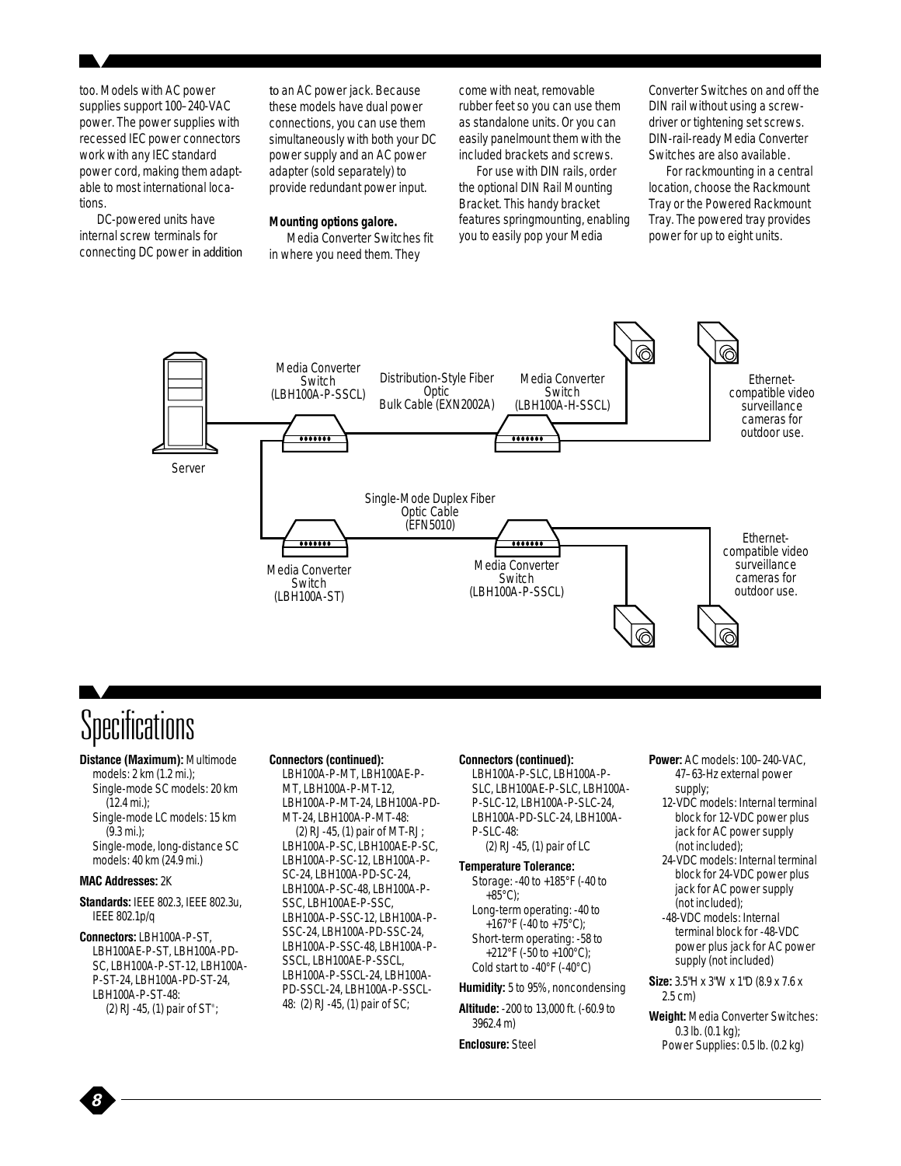too. Models with AC power supplies support 100–240-VAC power. The power supplies with recessed IEC power connectors work with any IEC standard power cord, making them adaptable to most international locations.

DC-powered units have internal screw terminals for connecting DC power in addition

to an AC power jack. Because these models have dual power connections, you can use them simultaneously with both your DC power supply and an AC power adapter (sold separately) to provide redundant power input.

#### **Mounting options galore.**

Media Converter Switches fit in where you need them. They

come with neat, removable rubber feet so you can use them as standalone units. Or you can easily panelmount them with the included brackets and screws.

For use with DIN rails, order the optional DIN Rail Mounting Bracket. This handy bracket features springmounting, enabling you to easily pop your Media

Converter Switches on and off the DIN rail without using a screwdriver or tightening set screws. DIN-rail-ready Media Converter Switches are also available.

For rackmounting in a central location, choose the Rackmount Tray or the Powered Rackmount Tray. The powered tray provides power for up to eight units.



### **Specifications**

**Distance (Maximum):** Multimode

models: 2 km (1.2 mi.); Single-mode SC models: 20 km (12.4 mi.); Single-mode LC models: 15 km

(9.3 mi.);

Single-mode, long-distance SC models: 40 km (24.9 mi.)

#### **MAC Addresses:** 2K

*8*

#### **Standards:** IEEE 802.3, IEEE 802.3u, IEEE 802.1p/q

**Connectors:** LBH100A-P-ST, LBH100AE-P-ST, LBH100A-PD-SC, LBH100A-P-ST-12, LBH100A-P-ST-24, LBH100A-PD-ST-24, LBH100A-P-ST-48: (2) RJ-45, (1) pair of ST<sup>®</sup>;

#### **Connectors (continued):**

LBH100A-P-MT, LBH100AE-P-MT, LBH100A-P-MT-12, LBH100A-P-MT-24, LBH100A-PD-MT-24, LBH100A-P-MT-48:

(2) RJ-45, (1) pair of MT-RJ; LBH100A-P-SC, LBH100AE-P-SC, LBH100A-P-SC-12, LBH100A-P-SC-24, LBH100A-PD-SC-24, LBH100A-P-SC-48, LBH100A-P-SSC, LBH100AE-P-SSC, LBH100A-P-SSC-12, LBH100A-P-SSC-24, LBH100A-PD-SSC-24, LBH100A-P-SSC-48, LBH100A-P-SSCL, LBH100AE-P-SSCL, LBH100A-P-SSCL-24, LBH100A-PD-SSCL-24, LBH100A-P-SSCL-48: (2) RJ-45, (1) pair of SC;

#### **Connectors (continued):**

LBH100A-P-SLC, LBH100A-P-SLC, LBH100AE-P-SLC, LBH100A-P-SLC-12, LBH100A-P-SLC-24, LBH100A-PD-SLC-24, LBH100A-P-SLC-48: (2) RJ-45, (1) pair of LC

**Temperature Tolerance:**

Storage: -40 to +185°F (-40 to +85°C); Long-term operating: -40 to +167°F (-40 to +75°C); Short-term operating: -58 to +212°F (-50 to +100°C); Cold start to -40°F (-40°C)

**Humidity:** 5 to 95%, noncondensing

**Altitude:** -200 to 13,000 ft. (-60.9 to 3962.4 m)

**Enclosure:** Steel

**Power:** AC models: 100–240-VAC, 47–63-Hz external power supply; 12-VDC models: Internal terminal block for 12-VDC power plus jack for AC power supply

(not included); 24-VDC models: Internal terminal block for 24-VDC power plus jack for AC power supply (not included);

-48-VDC models: Internal terminal block for -48-VDC power plus jack for AC power supply (not included)

**Size:** 3.5"H x 3"W x 1"D (8.9 x 7.6 x 2.5 cm)

**Weight:** Media Converter Switches: 0.3 lb. (0.1 kg); Power Supplies: 0.5 lb. (0.2 kg)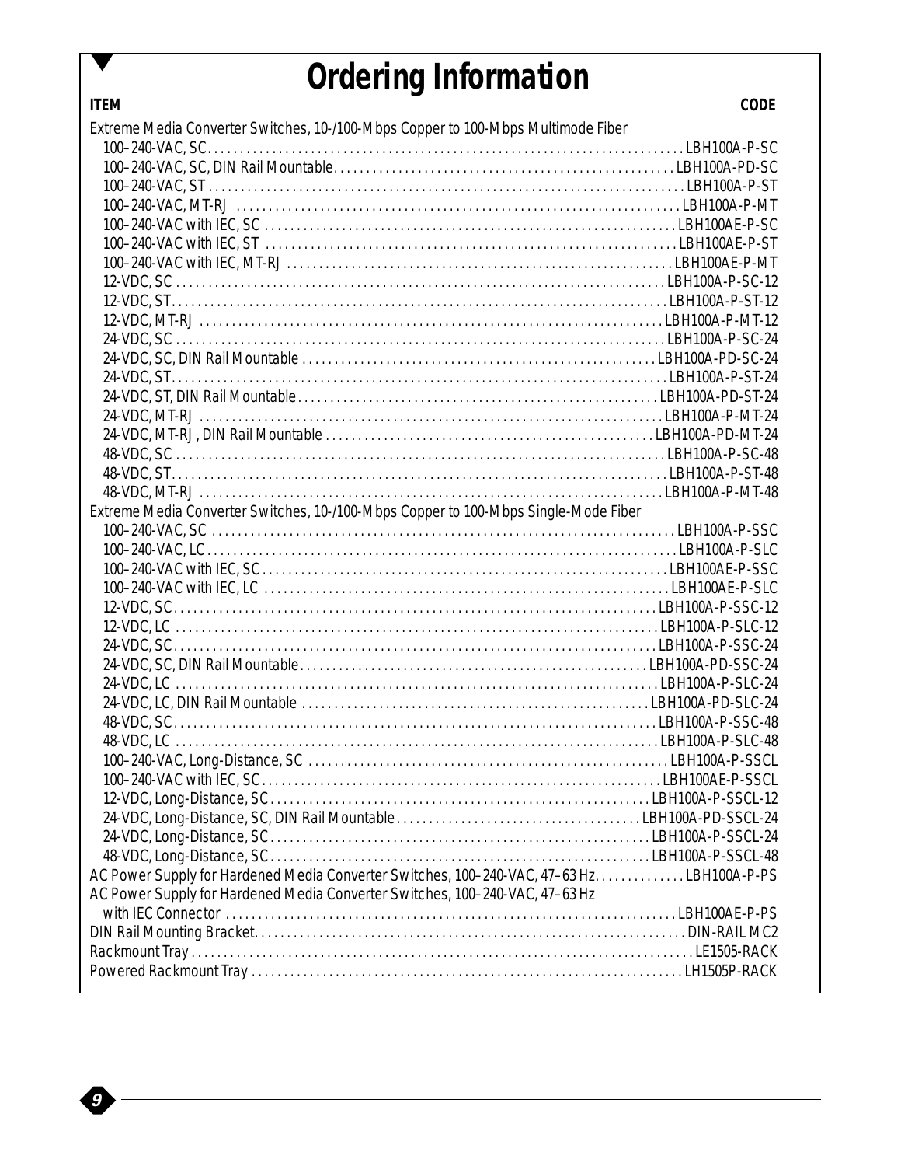## *Ordering Information*

**ITEM CODE**

| Extreme Media Converter Switches, 10-/100-Mbps Copper to 100-Mbps Multimode Fiber          |  |
|--------------------------------------------------------------------------------------------|--|
|                                                                                            |  |
|                                                                                            |  |
|                                                                                            |  |
|                                                                                            |  |
|                                                                                            |  |
|                                                                                            |  |
|                                                                                            |  |
|                                                                                            |  |
|                                                                                            |  |
|                                                                                            |  |
|                                                                                            |  |
|                                                                                            |  |
|                                                                                            |  |
|                                                                                            |  |
|                                                                                            |  |
|                                                                                            |  |
|                                                                                            |  |
|                                                                                            |  |
|                                                                                            |  |
| Extreme Media Converter Switches, 10-/100-Mbps Copper to 100-Mbps Single-Mode Fiber        |  |
|                                                                                            |  |
|                                                                                            |  |
|                                                                                            |  |
|                                                                                            |  |
|                                                                                            |  |
|                                                                                            |  |
|                                                                                            |  |
|                                                                                            |  |
|                                                                                            |  |
|                                                                                            |  |
|                                                                                            |  |
|                                                                                            |  |
|                                                                                            |  |
|                                                                                            |  |
|                                                                                            |  |
|                                                                                            |  |
|                                                                                            |  |
|                                                                                            |  |
| AC Power Supply for Hardened Media Converter Switches, 100-240-VAC, 47-63 Hz. LBH100A-P-PS |  |
| AC Power Supply for Hardened Media Converter Switches, 100-240-VAC, 47-63 Hz               |  |
|                                                                                            |  |
|                                                                                            |  |
|                                                                                            |  |
|                                                                                            |  |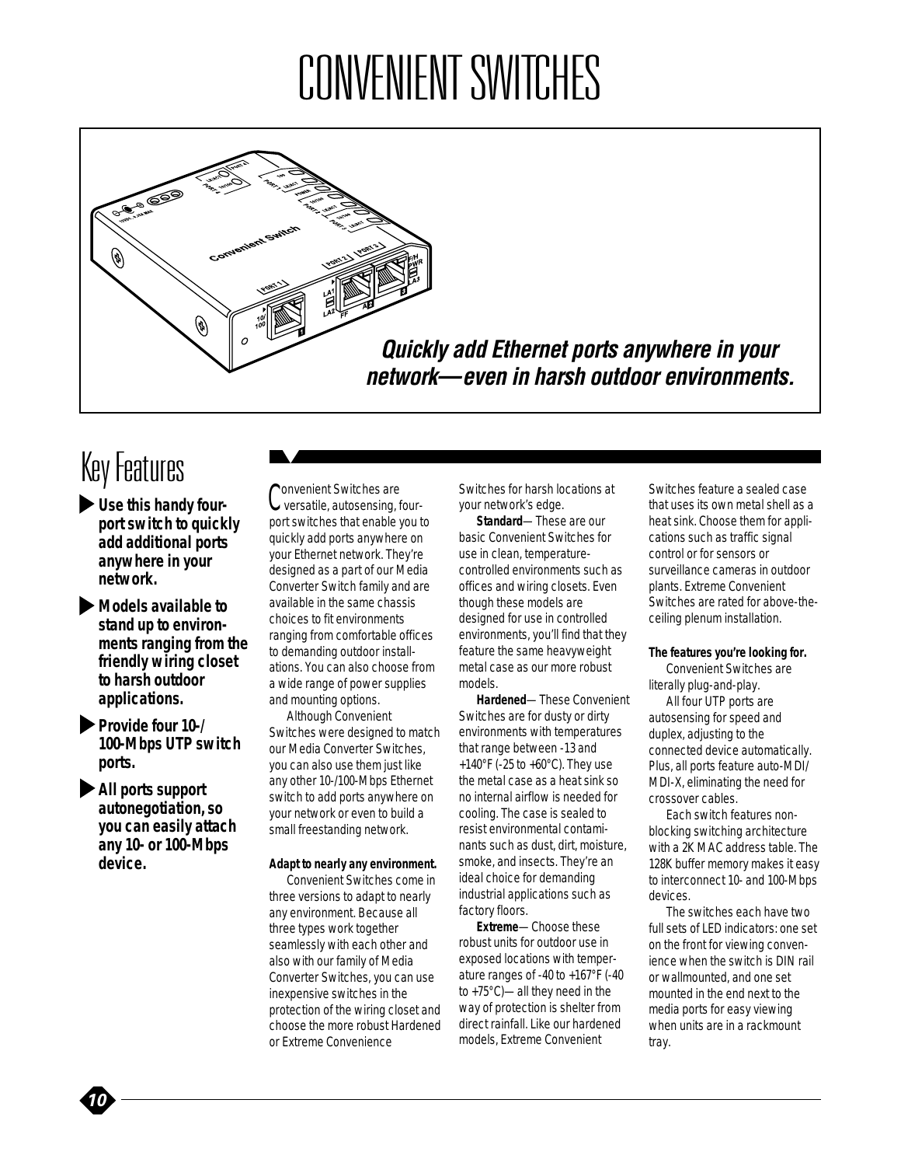# CONVENIENT SWITCHES



*Quickly add Ethernet ports anywhere in your network—even in harsh outdoor environments.*

### Key Features

- *Use this handy fourport switch to quickly add additional ports anywhere in your network.*
- *Models available to stand up to environments ranging from the friendly wiring closet to harsh outdoor applications.*
- *Provide four 10-/ 100-Mbps UTP switch ports.*

*All ports support autonegotiation, so you can easily attach any 10- or 100-Mbps device.*

Convenient Switches are<br>C versatile, autosensing, fourport switches that enable you to quickly add ports anywhere on your Ethernet network. They're designed as a part of our Media Converter Switch family and are available in the same chassis choices to fit environments ranging from comfortable offices to demanding outdoor installations. You can also choose from a wide range of power supplies and mounting options.

Although Convenient Switches were designed to match our Media Converter Switches, you can also use them just like any other 10-/100-Mbps Ethernet switch to add ports anywhere on your network or even to build a small freestanding network.

#### **Adapt to nearly any environment.**

Convenient Switches come in three versions to adapt to nearly any environment. Because all three types work together seamlessly with each other and also with our family of Media Converter Switches, you can use inexpensive switches in the protection of the wiring closet and choose the more robust Hardened or Extreme Convenience

Switches for harsh locations at your network's edge.

**Standard**—These are our basic Convenient Switches for use in clean, temperaturecontrolled environments such as offices and wiring closets. Even though these models are designed for use in controlled environments, you'll find that they feature the same heavyweight metal case as our more robust models.

**Hardened**—These Convenient Switches are for dusty or dirty environments with temperatures that range between -13 and +140°F (-25 to +60°C). They use the metal case as a heat sink so no internal airflow is needed for cooling. The case is sealed to resist environmental contaminants such as dust, dirt, moisture, smoke, and insects. They're an ideal choice for demanding industrial applications such as factory floors.

**Extreme**—Choose these robust units for outdoor use in exposed locations with temperature ranges of -40 to +167°F (-40 to +75°C)—all they need in the way of protection is shelter from direct rainfall. Like our hardened models, Extreme Convenient

Switches feature a sealed case that uses its own metal shell as a heat sink. Choose them for applications such as traffic signal control or for sensors or surveillance cameras in outdoor plants. Extreme Convenient Switches are rated for above-theceiling plenum installation.

#### **The features you're looking for.**

Convenient Switches are literally plug-and-play.

All four UTP ports are autosensing for speed and duplex, adjusting to the connected device automatically. Plus, all ports feature auto-MDI/ MDI-X, eliminating the need for crossover cables.

Each switch features nonblocking switching architecture with a 2K MAC address table. The 128K buffer memory makes it easy to interconnect 10- and 100-Mbps devices.

The switches each have two full sets of LED indicators: one set on the front for viewing convenience when the switch is DIN rail or wallmounted, and one set mounted in the end next to the media ports for easy viewing when units are in a rackmount tray.

*10*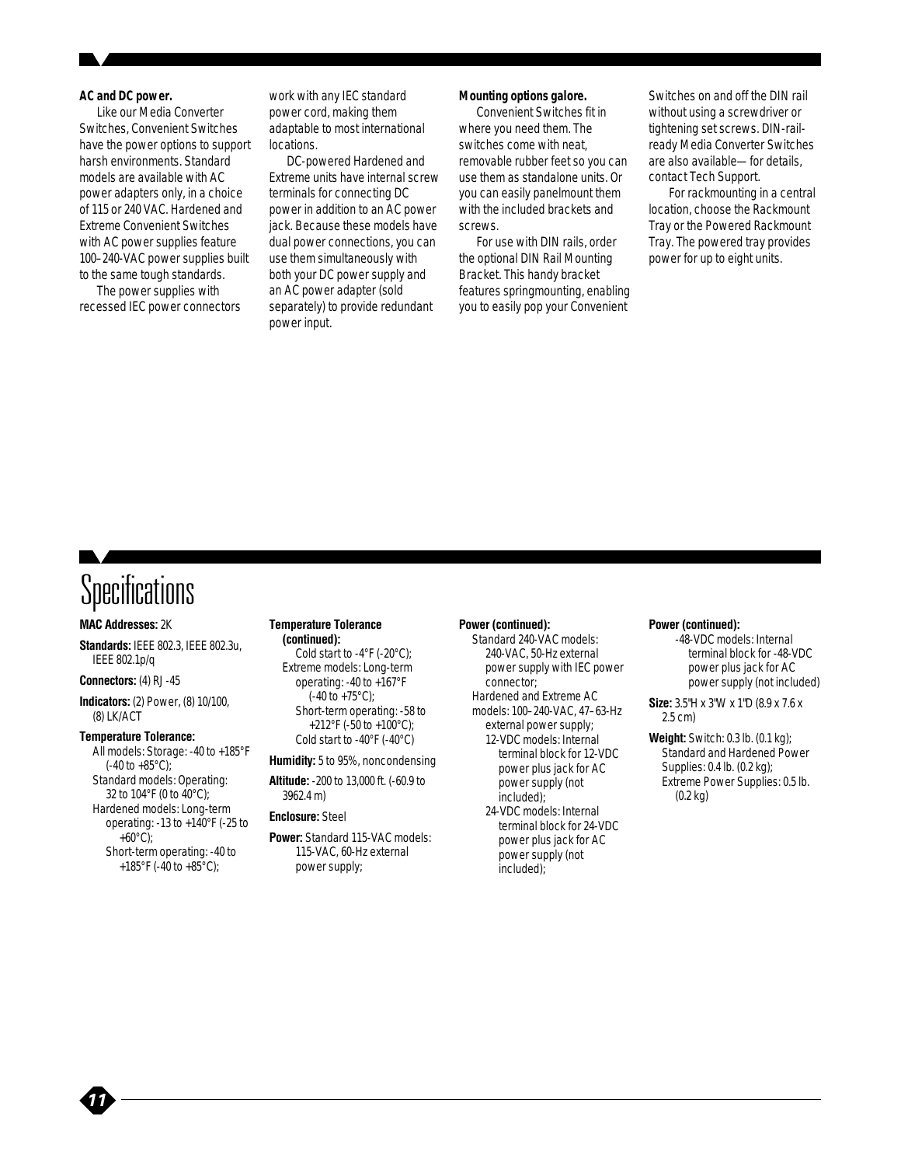#### **AC and DC power.**

Like our Media Converter Switches, Convenient Switches have the power options to support harsh environments. Standard models are available with AC power adapters only, in a choice of 115 or 240 VAC. Hardened and Extreme Convenient Switches with AC power supplies feature 100–240-VAC power supplies built to the same tough standards.

The power supplies with recessed IEC power connectors work with any IEC standard power cord, making them adaptable to most international locations.

DC-powered Hardened and Extreme units have internal screw terminals for connecting DC power in addition to an AC power jack. Because these models have dual power connections, you can use them simultaneously with both your DC power supply and an AC power adapter (sold separately) to provide redundant power input.

#### **Mounting options galore.**

Convenient Switches fit in where you need them. The switches come with neat, removable rubber feet so you can use them as standalone units. Or you can easily panelmount them with the included brackets and screws.

For use with DIN rails, order the optional DIN Rail Mounting Bracket. This handy bracket features springmounting, enabling you to easily pop your Convenient

Switches on and off the DIN rail without using a screwdriver or tightening set screws. DIN-railready Media Converter Switches are also available—for details, contact Tech Support.

For rackmounting in a central location, choose the Rackmount Tray or the Powered Rackmount Tray. The powered tray provides power for up to eight units.

### **Specifications**

#### **MAC Addresses:** 2K

**Standards:** IEEE 802.3, IEEE 802.3u, IEEE 802.1p/q

#### **Connectors:** (4) RJ-45

**Indicators:** (2) Power, (8) 10/100, (8) LK/ACT

#### **Temperature Tolerance:**

*11*

All models: Storage: -40 to +185°F  $(-40 \text{ to } +85^{\circ} \text{C})$ ; Standard models: Operating: 32 to 104°F (0 to 40°C); Hardened models: Long-term operating: -13 to +140°F (-25 to  $+60^{\circ}$ C); Short-term operating: -40 to +185°F (-40 to +85°C);

#### **Temperature Tolerance (continued):**

Cold start to -4°F (-20°C); Extreme models: Long-term operating: -40 to +167°F  $(-40 \text{ to } +75^{\circ} \text{C})$ ; Short-term operating: -58 to +212°F (-50 to +100°C); Cold start to -40°F (-40°C)

#### **Humidity:** 5 to 95%, noncondensing

**Altitude:** -200 to 13,000 ft. (-60.9 to 3962.4 m)

#### **Enclosure:** Steel

**Power:** Standard 115-VAC models: 115-VAC, 60-Hz external power supply;

#### **Power (continued):**

- Standard 240-VAC models: 240-VAC, 50-Hz external power supply with IEC power connector; Hardened and Extreme AC models: 100–240-VAC, 47–63-Hz external power supply; 12-VDC models: Internal terminal block for 12-VDC power plus jack for AC power supply (not included);
	- 24-VDC models: Internal terminal block for 24-VDC power plus jack for AC power supply (not included);

#### **Power (continued):**

- -48-VDC models: Internal terminal block for -48-VDC power plus jack for AC power supply (not included)
- **Size:** 3.5"H x 3"W x 1"D (8.9 x 7.6 x 2.5 cm)
- **Weight:** Switch: 0.3 lb. (0.1 kg); Standard and Hardened Power Supplies: 0.4 lb. (0.2 kg); Extreme Power Supplies: 0.5 lb. (0.2 kg)